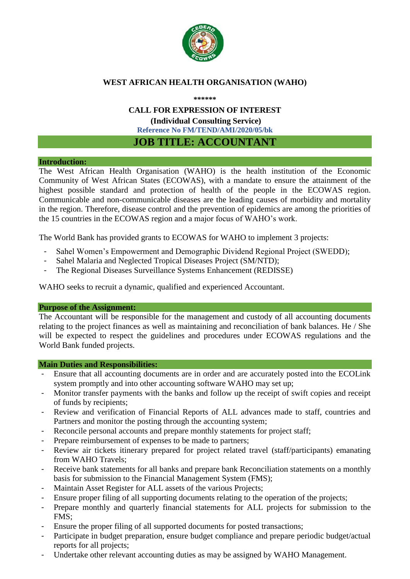

# **WEST AFRICAN HEALTH ORGANISATION (WAHO)**

**\*\*\*\*\*\***

### **CALL FOR EXPRESSION OF INTEREST**

**(Individual Consulting Service) Reference No FM/TEND/AMI/2020/05/bk**

# **JOB TITLE: ACCOUNTANT**

#### **Introduction:**

The West African Health Organisation (WAHO) is the health institution of the Economic Community of West African States (ECOWAS), with a mandate to ensure the attainment of the highest possible standard and protection of health of the people in the ECOWAS region. Communicable and non-communicable diseases are the leading causes of morbidity and mortality in the region. Therefore, disease control and the prevention of epidemics are among the priorities of the 15 countries in the ECOWAS region and a major focus of WAHO's work.

The World Bank has provided grants to ECOWAS for WAHO to implement 3 projects:

- Sahel Women's Empowerment and Demographic Dividend Regional Project (SWEDD);
- Sahel Malaria and Neglected Tropical Diseases Project (SM/NTD);
- The Regional Diseases Surveillance Systems Enhancement (REDISSE)

WAHO seeks to recruit a dynamic, qualified and experienced Accountant.

### **Purpose of the Assignment:**

The Accountant will be responsible for the management and custody of all accounting documents relating to the project finances as well as maintaining and reconciliation of bank balances. He / She will be expected to respect the guidelines and procedures under ECOWAS regulations and the World Bank funded projects.

### **Main Duties and Responsibilities:**

- Ensure that all accounting documents are in order and are accurately posted into the ECOLink system promptly and into other accounting software WAHO may set up;
- Monitor transfer payments with the banks and follow up the receipt of swift copies and receipt of funds by recipients;
- Review and verification of Financial Reports of ALL advances made to staff, countries and Partners and monitor the posting through the accounting system;
- Reconcile personal accounts and prepare monthly statements for project staff;
- Prepare reimbursement of expenses to be made to partners;
- Review air tickets itinerary prepared for project related travel (staff/participants) emanating from WAHO Travels;
- Receive bank statements for all banks and prepare bank Reconciliation statements on a monthly basis for submission to the Financial Management System (FMS);
- Maintain Asset Register for ALL assets of the various Projects;
- Ensure proper filing of all supporting documents relating to the operation of the projects;
- Prepare monthly and quarterly financial statements for ALL projects for submission to the FMS;
- Ensure the proper filing of all supported documents for posted transactions;
- Participate in budget preparation, ensure budget compliance and prepare periodic budget/actual reports for all projects;
- Undertake other relevant accounting duties as may be assigned by WAHO Management.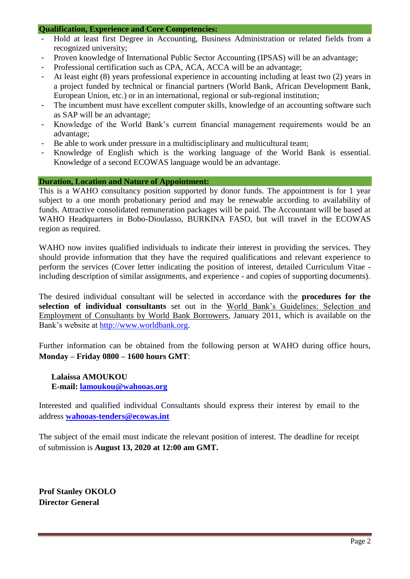### **Qualification, Experience and Core Competencies:**

- Hold at least first Degree in Accounting, Business Administration or related fields from a recognized university;
- Proven knowledge of International Public Sector Accounting (IPSAS) will be an advantage;
- Professional certification such as CPA, ACA, ACCA will be an advantage;
- At least eight (8) years professional experience in accounting including at least two (2) years in a project funded by technical or financial partners (World Bank, African Development Bank, European Union, etc.) or in an international, regional or sub-regional institution;
- The incumbent must have excellent computer skills, knowledge of an accounting software such as SAP will be an advantage;
- Knowledge of the World Bank's current financial management requirements would be an advantage;
- Be able to work under pressure in a multidisciplinary and multicultural team;
- Knowledge of English which is the working language of the World Bank is essential. Knowledge of a second ECOWAS language would be an advantage.

#### **Duration, Location and Nature of Appointment:**

This is a WAHO consultancy position supported by donor funds. The appointment is for 1 year subject to a one month probationary period and may be renewable according to availability of funds. Attractive consolidated remuneration packages will be paid. The Accountant will be based at WAHO Headquarters in Bobo-Dioulasso, BURKINA FASO, but will travel in the ECOWAS region as required.

WAHO now invites qualified individuals to indicate their interest in providing the services. They should provide information that they have the required qualifications and relevant experience to perform the services (Cover letter indicating the position of interest, detailed Curriculum Vitae including description of similar assignments, and experience - and copies of supporting documents).

The desired individual consultant will be selected in accordance with the **procedures for the selection of individual consultants** set out in the World Bank's Guidelines: Selection and Employment of Consultants by World Bank Borrowers, January 2011, which is available on the Bank's website at [http://www.worldbank.org.](http://www.worldbank.org/)

Further information can be obtained from the following person at WAHO during office hours, **Monday – Friday 0800 – 1600 hours GMT**:

**Lalaissa AMOUKOU E-mail: [lamoukou@wahooas.org](mailto:lamoukou@wahooas.org)**

Interested and qualified individual Consultants should express their interest by email to the address **[wahooas-tenders@ecowas.int](mailto:wahooas-tenders@ecowas.int)**

The subject of the email must indicate the relevant position of interest. The deadline for receipt of submission is **August 13, 2020 at 12:00 am GMT.**

**Prof Stanley OKOLO Director General**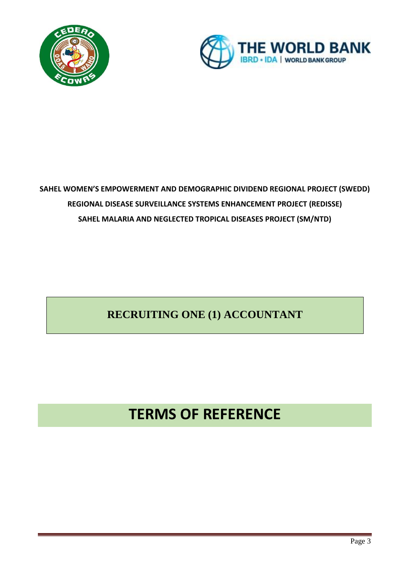



# **SAHEL WOMEN'S EMPOWERMENT AND DEMOGRAPHIC DIVIDEND REGIONAL PROJECT (SWEDD) REGIONAL DISEASE SURVEILLANCE SYSTEMS ENHANCEMENT PROJECT (REDISSE) SAHEL MALARIA AND NEGLECTED TROPICAL DISEASES PROJECT (SM/NTD)**

# **RECRUITING ONE (1) ACCOUNTANT**

# **TERMS OF REFERENCE**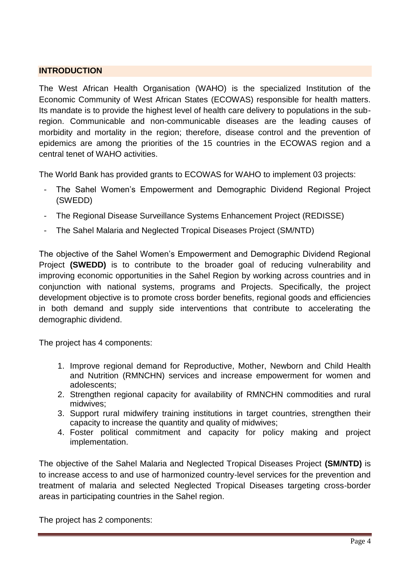# **INTRODUCTION**

The West African Health Organisation (WAHO) is the specialized Institution of the Economic Community of West African States (ECOWAS) responsible for health matters. Its mandate is to provide the highest level of health care delivery to populations in the subregion. Communicable and non-communicable diseases are the leading causes of morbidity and mortality in the region; therefore, disease control and the prevention of epidemics are among the priorities of the 15 countries in the ECOWAS region and a central tenet of WAHO activities.

The World Bank has provided grants to ECOWAS for WAHO to implement 03 projects:

- The Sahel Women's Empowerment and Demographic Dividend Regional Project (SWEDD)
- The Regional Disease Surveillance Systems Enhancement Project (REDISSE)
- The Sahel Malaria and Neglected Tropical Diseases Project (SM/NTD)

The objective of the Sahel Women's Empowerment and Demographic Dividend Regional Project **(SWEDD)** is to contribute to the broader goal of reducing vulnerability and improving economic opportunities in the Sahel Region by working across countries and in conjunction with national systems, programs and Projects. Specifically, the project development objective is to promote cross border benefits, regional goods and efficiencies in both demand and supply side interventions that contribute to accelerating the demographic dividend.

The project has 4 components:

- 1. Improve regional demand for Reproductive, Mother, Newborn and Child Health and Nutrition (RMNCHN) services and increase empowerment for women and adolescents;
- 2. Strengthen regional capacity for availability of RMNCHN commodities and rural midwives;
- 3. Support rural midwifery training institutions in target countries, strengthen their capacity to increase the quantity and quality of midwives;
- 4. Foster political commitment and capacity for policy making and project implementation.

The objective of the Sahel Malaria and Neglected Tropical Diseases Project **(SM/NTD)** is to increase access to and use of harmonized country-level services for the prevention and treatment of malaria and selected Neglected Tropical Diseases targeting cross-border areas in participating countries in the Sahel region.

The project has 2 components: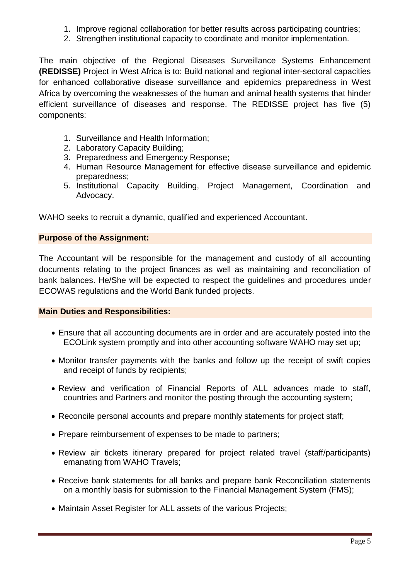- 1. Improve regional collaboration for better results across participating countries;
- 2. Strengthen institutional capacity to coordinate and monitor implementation.

The main objective of the Regional Diseases Surveillance Systems Enhancement **(REDISSE)** Project in West Africa is to: Build national and regional inter-sectoral capacities for enhanced collaborative disease surveillance and epidemics preparedness in West Africa by overcoming the weaknesses of the human and animal health systems that hinder efficient surveillance of diseases and response. The REDISSE project has five (5) components:

- 1. Surveillance and Health Information;
- 2. Laboratory Capacity Building;
- 3. Preparedness and Emergency Response;
- 4. Human Resource Management for effective disease surveillance and epidemic preparedness;
- 5. Institutional Capacity Building, Project Management, Coordination and Advocacy.

WAHO seeks to recruit a dynamic, qualified and experienced Accountant.

### **Purpose of the Assignment:**

The Accountant will be responsible for the management and custody of all accounting documents relating to the project finances as well as maintaining and reconciliation of bank balances. He/She will be expected to respect the guidelines and procedures under ECOWAS regulations and the World Bank funded projects.

### **Main Duties and Responsibilities:**

- Ensure that all accounting documents are in order and are accurately posted into the ECOLink system promptly and into other accounting software WAHO may set up;
- Monitor transfer payments with the banks and follow up the receipt of swift copies and receipt of funds by recipients;
- Review and verification of Financial Reports of ALL advances made to staff, countries and Partners and monitor the posting through the accounting system;
- Reconcile personal accounts and prepare monthly statements for project staff;
- Prepare reimbursement of expenses to be made to partners;
- Review air tickets itinerary prepared for project related travel (staff/participants) emanating from WAHO Travels;
- Receive bank statements for all banks and prepare bank Reconciliation statements on a monthly basis for submission to the Financial Management System (FMS);
- Maintain Asset Register for ALL assets of the various Projects: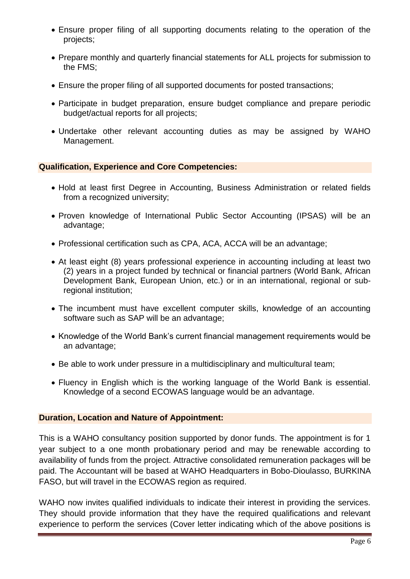- Ensure proper filing of all supporting documents relating to the operation of the projects;
- Prepare monthly and quarterly financial statements for ALL projects for submission to the FMS;
- Ensure the proper filing of all supported documents for posted transactions;
- Participate in budget preparation, ensure budget compliance and prepare periodic budget/actual reports for all projects;
- Undertake other relevant accounting duties as may be assigned by WAHO Management.

# **Qualification, Experience and Core Competencies:**

- Hold at least first Degree in Accounting, Business Administration or related fields from a recognized university;
- Proven knowledge of International Public Sector Accounting (IPSAS) will be an advantage;
- Professional certification such as CPA, ACA, ACCA will be an advantage;
- At least eight (8) years professional experience in accounting including at least two (2) years in a project funded by technical or financial partners (World Bank, African Development Bank, European Union, etc.) or in an international, regional or subregional institution;
- The incumbent must have excellent computer skills, knowledge of an accounting software such as SAP will be an advantage:
- Knowledge of the World Bank's current financial management requirements would be an advantage;
- Be able to work under pressure in a multidisciplinary and multicultural team;
- Fluency in English which is the working language of the World Bank is essential. Knowledge of a second ECOWAS language would be an advantage.

# **Duration, Location and Nature of Appointment:**

This is a WAHO consultancy position supported by donor funds. The appointment is for 1 year subject to a one month probationary period and may be renewable according to availability of funds from the project. Attractive consolidated remuneration packages will be paid. The Accountant will be based at WAHO Headquarters in Bobo-Dioulasso, BURKINA FASO, but will travel in the ECOWAS region as required.

WAHO now invites qualified individuals to indicate their interest in providing the services. They should provide information that they have the required qualifications and relevant experience to perform the services (Cover letter indicating which of the above positions is